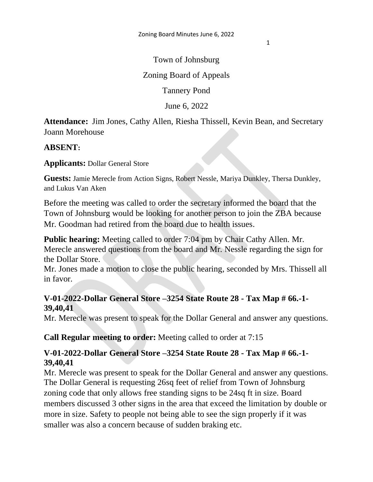1

Town of Johnsburg

Zoning Board of Appeals

Tannery Pond

June 6, 2022

**Attendance:** Jim Jones, Cathy Allen, Riesha Thissell, Kevin Bean, and Secretary Joann Morehouse

## **ABSENT:**

**Applicants:** Dollar General Store

**Guests:** Jamie Merecle from Action Signs, Robert Nessle, Mariya Dunkley, Thersa Dunkley, and Lukus Van Aken

Before the meeting was called to order the secretary informed the board that the Town of Johnsburg would be looking for another person to join the ZBA because Mr. Goodman had retired from the board due to health issues.

**Public hearing:** Meeting called to order 7:04 pm by Chair Cathy Allen. Mr. Merecle answered questions from the board and Mr. Nessle regarding the sign for the Dollar Store.

Mr. Jones made a motion to close the public hearing, seconded by Mrs. Thissell all in favor.

## **V-01-2022-Dollar General Store –3254 State Route 28 - Tax Map # 66.-1- 39,40,41**

Mr. Merecle was present to speak for the Dollar General and answer any questions.

**Call Regular meeting to order:** Meeting called to order at 7:15

## **V-01-2022-Dollar General Store –3254 State Route 28 - Tax Map # 66.-1- 39,40,41**

Mr. Merecle was present to speak for the Dollar General and answer any questions. The Dollar General is requesting 26sq feet of relief from Town of Johnsburg zoning code that only allows free standing signs to be 24sq ft in size. Board members discussed 3 other signs in the area that exceed the limitation by double or more in size. Safety to people not being able to see the sign properly if it was smaller was also a concern because of sudden braking etc.